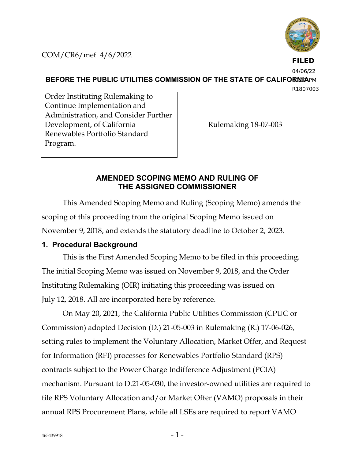

COM/CR6/mef 4/6/2022

**FILED**

04/06/22

**BEFORE THE PUBLIC UTILITIES COMMISSION OF THE STATE OF CALIFORNIAPM** 

R1807003

Order Instituting Rulemaking to Continue Implementation and Administration, and Consider Further Development, of California Renewables Portfolio Standard Program.

Rulemaking 18-07-003

# **AMENDED SCOPING MEMO AND RULING OF THE ASSIGNED COMMISSIONER**

This Amended Scoping Memo and Ruling (Scoping Memo) amends the scoping of this proceeding from the original Scoping Memo issued on November 9, 2018, and extends the statutory deadline to October 2, 2023.

# **1. Procedural Background**

This is the First Amended Scoping Memo to be filed in this proceeding. The initial Scoping Memo was issued on November 9, 2018, and the Order Instituting Rulemaking (OIR) initiating this proceeding was issued on July 12, 2018. All are incorporated here by reference.

On May 20, 2021, the California Public Utilities Commission (CPUC or Commission) adopted Decision (D.) 21-05-003 in Rulemaking (R.) 17-06-026, setting rules to implement the Voluntary Allocation, Market Offer, and Request for Information (RFI) processes for Renewables Portfolio Standard (RPS) contracts subject to the Power Charge Indifference Adjustment (PCIA) mechanism. Pursuant to D.21-05-030, the investor-owned utilities are required to file RPS Voluntary Allocation and/or Market Offer (VAMO) proposals in their annual RPS Procurement Plans, while all LSEs are required to report VAMO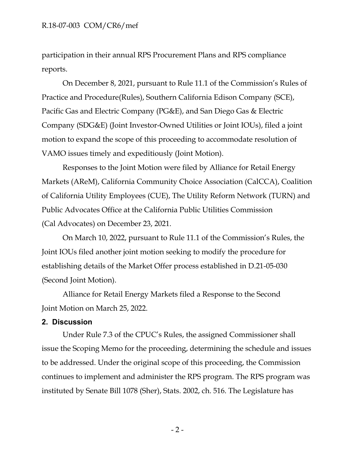participation in their annual RPS Procurement Plans and RPS compliance reports.

On December 8, 2021, pursuant to Rule 11.1 of the Commission's Rules of Practice and Procedure(Rules), Southern California Edison Company (SCE), Pacific Gas and Electric Company (PG&E), and San Diego Gas & Electric Company (SDG&E) (Joint Investor-Owned Utilities or Joint IOUs), filed a joint motion to expand the scope of this proceeding to accommodate resolution of VAMO issues timely and expeditiously (Joint Motion).

Responses to the Joint Motion were filed by Alliance for Retail Energy Markets (AReM), California Community Choice Association (CalCCA), Coalition of California Utility Employees (CUE), The Utility Reform Network (TURN) and Public Advocates Office at the California Public Utilities Commission (Cal Advocates) on December 23, 2021.

On March 10, 2022, pursuant to Rule 11.1 of the Commission's Rules, the Joint IOUs filed another joint motion seeking to modify the procedure for establishing details of the Market Offer process established in D.21-05-030 (Second Joint Motion).

Alliance for Retail Energy Markets filed a Response to the Second Joint Motion on March 25, 2022.

### **2. Discussion**

Under Rule 7.3 of the CPUC's Rules, the assigned Commissioner shall issue the Scoping Memo for the proceeding, determining the schedule and issues to be addressed. Under the original scope of this proceeding, the Commission continues to implement and administer the RPS program. The RPS program was instituted by Senate Bill 1078 (Sher), Stats. 2002, ch. 516. The Legislature has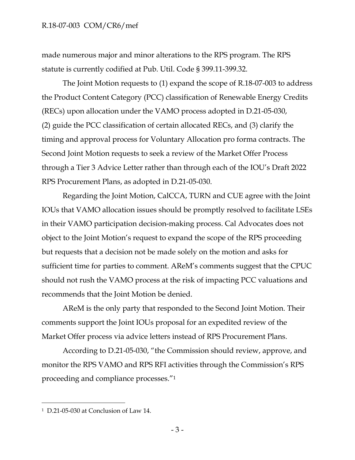made numerous major and minor alterations to the RPS program. The RPS statute is currently codified at Pub. Util. Code § 399.11-399.32.

The Joint Motion requests to (1) expand the scope of R.18-07-003 to address the Product Content Category (PCC) classification of Renewable Energy Credits (RECs) upon allocation under the VAMO process adopted in D.21-05-030, (2) guide the PCC classification of certain allocated RECs, and (3) clarify the timing and approval process for Voluntary Allocation pro forma contracts. The Second Joint Motion requests to seek a review of the Market Offer Process through a Tier 3 Advice Letter rather than through each of the IOU's Draft 2022 RPS Procurement Plans, as adopted in D.21-05-030.

Regarding the Joint Motion, CalCCA, TURN and CUE agree with the Joint IOUs that VAMO allocation issues should be promptly resolved to facilitate LSEs in their VAMO participation decision-making process. Cal Advocates does not object to the Joint Motion's request to expand the scope of the RPS proceeding but requests that a decision not be made solely on the motion and asks for sufficient time for parties to comment. AReM's comments suggest that the CPUC should not rush the VAMO process at the risk of impacting PCC valuations and recommends that the Joint Motion be denied.

AReM is the only party that responded to the Second Joint Motion. Their comments support the Joint IOUs proposal for an expedited review of the Market Offer process via advice letters instead of RPS Procurement Plans.

According to D.21-05-030, "the Commission should review, approve, and monitor the RPS VAMO and RPS RFI activities through the Commission's RPS proceeding and compliance processes."<sup>1</sup>

<sup>1</sup> D.21-05-030 at Conclusion of Law 14.